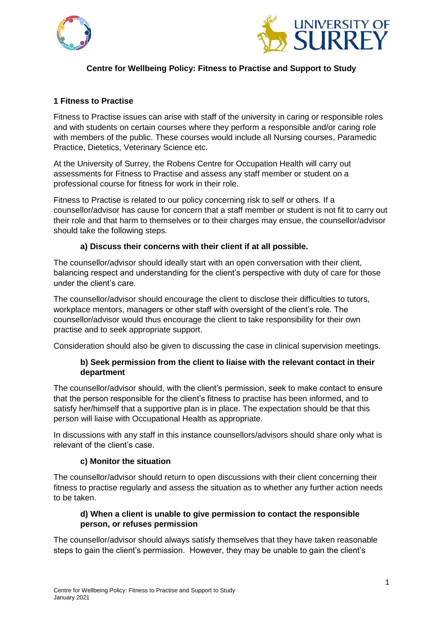



# **Centre for Wellbeing Policy: Fitness to Practise and Support to Study**

#### **1 Fitness to Practise**

Fitness to Practise issues can arise with staff of the university in caring or responsible roles and with students on certain courses where they perform a responsible and/or caring role with members of the public. These courses would include all Nursing courses, Paramedic Practice, Dietetics, Veterinary Science etc.

At the University of Surrey, the Robens Centre for Occupation Health will carry out assessments for Fitness to Practise and assess any staff member or student on a professional course for fitness for work in their role.

Fitness to Practise is related to our policy concerning risk to self or others. If a counsellor/advisor has cause for concern that a staff member or student is not fit to carry out their role and that harm to themselves or to their charges may ensue, the counsellor/advisor should take the following steps.

#### **a) Discuss their concerns with their client if at all possible.**

The counsellor/advisor should ideally start with an open conversation with their client, balancing respect and understanding for the client's perspective with duty of care for those under the client's care.

The counsellor/advisor should encourage the client to disclose their difficulties to tutors, workplace mentors, managers or other staff with oversight of the client's role. The counsellor/advisor would thus encourage the client to take responsibility for their own practise and to seek appropriate support.

Consideration should also be given to discussing the case in clinical supervision meetings.

### **b) Seek permission from the client to liaise with the relevant contact in their department**

The counsellor/advisor should, with the client's permission, seek to make contact to ensure that the person responsible for the client's fitness to practise has been informed, and to satisfy her/himself that a supportive plan is in place. The expectation should be that this person will liaise with Occupational Health as appropriate.

In discussions with any staff in this instance counsellors/advisors should share only what is relevant of the client's case.

#### **c) Monitor the situation**

The counsellor/advisor should return to open discussions with their client concerning their fitness to practise regularly and assess the situation as to whether any further action needs to be taken.

### **d) When a client is unable to give permission to contact the responsible person, or refuses permission**

The counsellor/advisor should always satisfy themselves that they have taken reasonable steps to gain the client's permission. However, they may be unable to gain the client's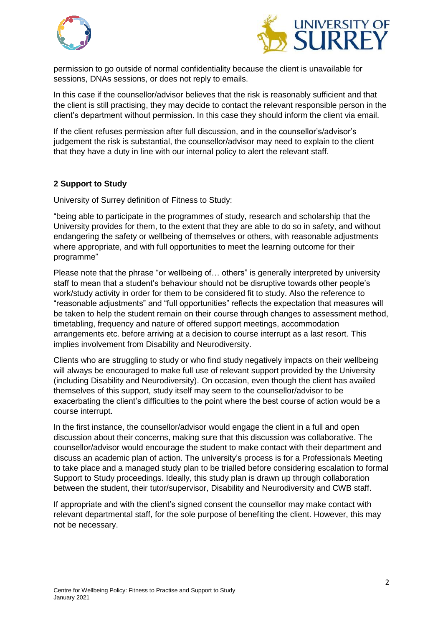



permission to go outside of normal confidentiality because the client is unavailable for sessions, DNAs sessions, or does not reply to emails.

In this case if the counsellor/advisor believes that the risk is reasonably sufficient and that the client is still practising, they may decide to contact the relevant responsible person in the client's department without permission. In this case they should inform the client via email.

If the client refuses permission after full discussion, and in the counsellor's/advisor's judgement the risk is substantial, the counsellor/advisor may need to explain to the client that they have a duty in line with our internal policy to alert the relevant staff.

### **2 Support to Study**

University of Surrey definition of Fitness to Study:

"being able to participate in the programmes of study, research and scholarship that the University provides for them, to the extent that they are able to do so in safety, and without endangering the safety or wellbeing of themselves or others, with reasonable adjustments where appropriate, and with full opportunities to meet the learning outcome for their programme"

Please note that the phrase "or wellbeing of… others" is generally interpreted by university staff to mean that a student's behaviour should not be disruptive towards other people's work/study activity in order for them to be considered fit to study. Also the reference to "reasonable adjustments" and "full opportunities" reflects the expectation that measures will be taken to help the student remain on their course through changes to assessment method, timetabling, frequency and nature of offered support meetings, accommodation arrangements etc. before arriving at a decision to course interrupt as a last resort. This implies involvement from Disability and Neurodiversity.

Clients who are struggling to study or who find study negatively impacts on their wellbeing will always be encouraged to make full use of relevant support provided by the University (including Disability and Neurodiversity). On occasion, even though the client has availed themselves of this support, study itself may seem to the counsellor/advisor to be exacerbating the client's difficulties to the point where the best course of action would be a course interrupt.

In the first instance, the counsellor/advisor would engage the client in a full and open discussion about their concerns, making sure that this discussion was collaborative. The counsellor/advisor would encourage the student to make contact with their department and discuss an academic plan of action. The university's process is for a Professionals Meeting to take place and a managed study plan to be trialled before considering escalation to formal Support to Study proceedings. Ideally, this study plan is drawn up through collaboration between the student, their tutor/supervisor, Disability and Neurodiversity and CWB staff.

If appropriate and with the client's signed consent the counsellor may make contact with relevant departmental staff, for the sole purpose of benefiting the client. However, this may not be necessary.